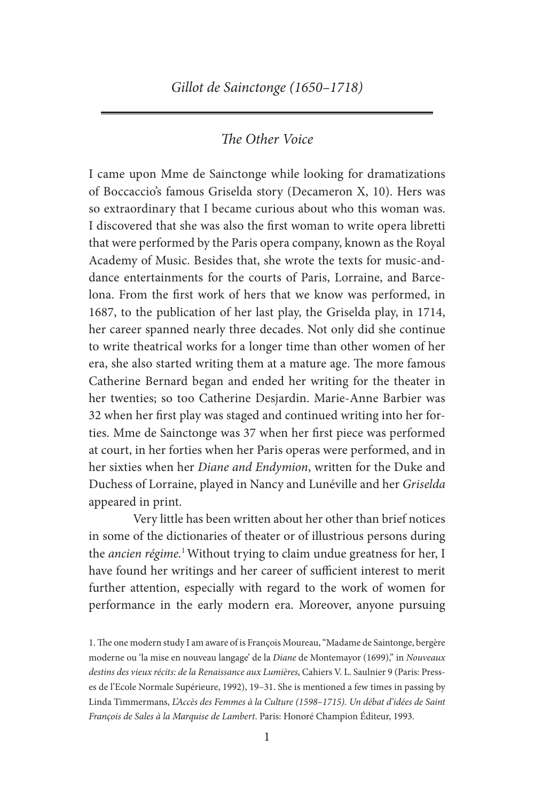## *The Other Voice*

I came upon Mme de Sainctonge while looking for dramatizations of Boccaccio's famous Griselda story (Decameron X, 10). Hers was so extraordinary that I became curious about who this woman was. I discovered that she was also the first woman to write opera libretti that were performed by the Paris opera company, known as the Royal Academy of Music. Besides that, she wrote the texts for music-anddance entertainments for the courts of Paris, Lorraine, and Barcelona. From the first work of hers that we know was performed, in 1687, to the publication of her last play, the Griselda play, in 1714, her career spanned nearly three decades. Not only did she continue to write theatrical works for a longer time than other women of her era, she also started writing them at a mature age. The more famous Catherine Bernard began and ended her writing for the theater in her twenties; so too Catherine Desjardin. Marie-Anne Barbier was 32 when her first play was staged and continued writing into her forties. Mme de Sainctonge was 37 when her first piece was performed at court, in her forties when her Paris operas were performed, and in her sixties when her *Diane and Endymion*, written for the Duke and Duchess of Lorraine, played in Nancy and Lunéville and her *Griselda* appeared in print.

Very little has been written about her other than brief notices in some of the dictionaries of theater or of illustrious persons during the *ancien régime.*1 Without trying to claim undue greatness for her, I have found her writings and her career of sufficient interest to merit further attention, especially with regard to the work of women for performance in the early modern era. Moreover, anyone pursuing

1. The one modern study I am aware of is François Moureau, "Madame de Saintonge, bergère moderne ou 'la mise en nouveau langage' de la *Diane* de Montemayor (1699)," in *Nouveaux destins des vieux récits: de la Renaissance aux Lumières*, Cahiers V. L. Saulnier 9 (Paris: Presses de l'Ecole Normale Supérieure, 1992), 19–31. She is mentioned a few times in passing by Linda Timmermans, *L'Accès des Femmes à la Culture (1598–1715). Un débat d'idées de Saint François de Sales à la Marquise de Lambert*. Paris: Honoré Champion Éditeur, 1993.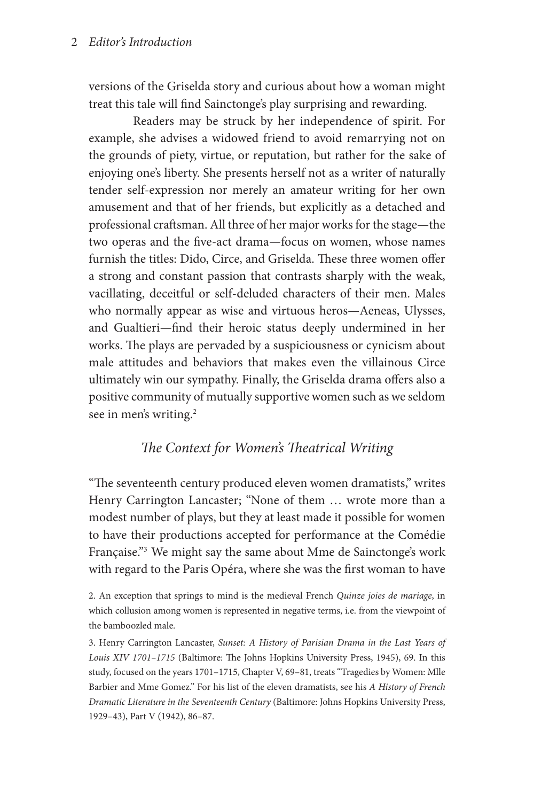versions of the Griselda story and curious about how a woman might treat this tale will find Sainctonge's play surprising and rewarding.

Readers may be struck by her independence of spirit. For example, she advises a widowed friend to avoid remarrying not on the grounds of piety, virtue, or reputation, but rather for the sake of enjoying one's liberty. She presents herself not as a writer of naturally tender self-expression nor merely an amateur writing for her own amusement and that of her friends, but explicitly as a detached and professional craftsman. All three of her major works for the stage—the two operas and the five-act drama—focus on women, whose names furnish the titles: Dido, Circe, and Griselda. These three women offer a strong and constant passion that contrasts sharply with the weak, vacillating, deceitful or self-deluded characters of their men. Males who normally appear as wise and virtuous heros—Aeneas, Ulysses, and Gualtieri—find their heroic status deeply undermined in her works. The plays are pervaded by a suspiciousness or cynicism about male attitudes and behaviors that makes even the villainous Circe ultimately win our sympathy. Finally, the Griselda drama offers also a positive community of mutually supportive women such as we seldom see in men's writing.<sup>2</sup>

# *The Context for Women's Theatrical Writing*

"The seventeenth century produced eleven women dramatists," writes Henry Carrington Lancaster; "None of them … wrote more than a modest number of plays, but they at least made it possible for women to have their productions accepted for performance at the Comédie Française."<sup>3</sup> We might say the same about Mme de Sainctonge's work with regard to the Paris Opéra, where she was the first woman to have

3. Henry Carrington Lancaster, *Sunset: A History of Parisian Drama in the Last Years of Louis XIV 1701–1715* (Baltimore: The Johns Hopkins University Press, 1945), 69. In this study, focused on the years 1701–1715, Chapter V, 69–81, treats "Tragedies by Women: Mlle Barbier and Mme Gomez." For his list of the eleven dramatists, see his *A History of French Dramatic Literature in the Seventeenth Century* (Baltimore: Johns Hopkins University Press, 1929–43), Part V (1942), 86–87.

<sup>2.</sup> An exception that springs to mind is the medieval French *Quinze joies de mariage*, in which collusion among women is represented in negative terms, i.e. from the viewpoint of the bamboozled male.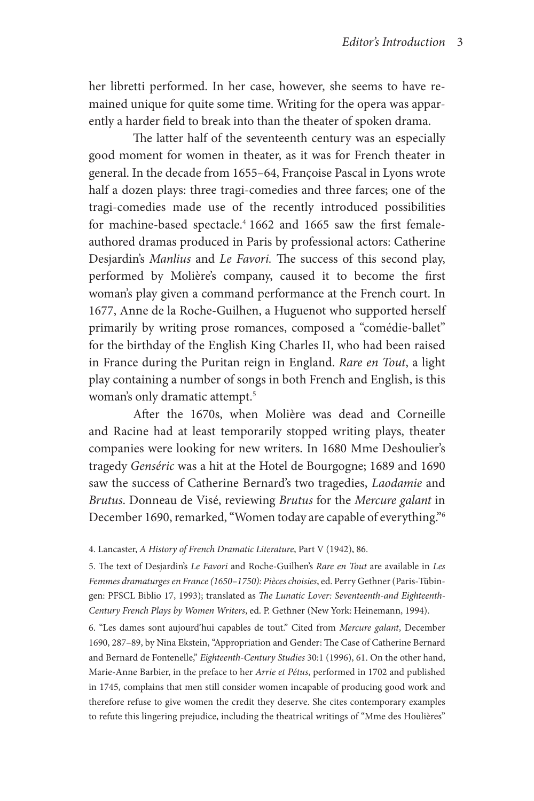her libretti performed. In her case, however, she seems to have remained unique for quite some time. Writing for the opera was apparently a harder field to break into than the theater of spoken drama.

The latter half of the seventeenth century was an especially good moment for women in theater, as it was for French theater in general. In the decade from 1655–64, Françoise Pascal in Lyons wrote half a dozen plays: three tragi-comedies and three farces; one of the tragi-comedies made use of the recently introduced possibilities for machine-based spectacle.<sup>4</sup> 1662 and 1665 saw the first femaleauthored dramas produced in Paris by professional actors: Catherine Desjardin's *Manlius* and *Le Favori.* The success of this second play, performed by Molière's company, caused it to become the first woman's play given a command performance at the French court. In 1677, Anne de la Roche-Guilhen, a Huguenot who supported herself primarily by writing prose romances, composed a "comédie-ballet" for the birthday of the English King Charles II, who had been raised in France during the Puritan reign in England. *Rare en Tout*, a light play containing a number of songs in both French and English, is this woman's only dramatic attempt.<sup>5</sup>

After the 1670s, when Molière was dead and Corneille and Racine had at least temporarily stopped writing plays, theater companies were looking for new writers. In 1680 Mme Deshoulier's tragedy *Genséric* was a hit at the Hotel de Bourgogne; 1689 and 1690 saw the success of Catherine Bernard's two tragedies, *Laodamie* and *Brutus*. Donneau de Visé, reviewing *Brutus* for the *Mercure galant* in December 1690, remarked, "Women today are capable of everything."6

#### 4. Lancaster, *A History of French Dramatic Literature*, Part V (1942), 86.

5. The text of Desjardin's *Le Favori* and Roche-Guilhen's *Rare en Tout* are available in *Les Femmes dramaturges en France (1650–1750): Pièces choisies*, ed. Perry Gethner (Paris-Tübingen: PFSCL Biblio 17, 1993); translated as *The Lunatic Lover: Seventeenth-and Eighteenth-Century French Plays by Women Writers*, ed. P. Gethner (New York: Heinemann, 1994).

6. "Les dames sont aujourd'hui capables de tout." Cited from *Mercure galant*, December 1690, 287–89, by Nina Ekstein, "Appropriation and Gender: The Case of Catherine Bernard and Bernard de Fontenelle," *Eighteenth-Century Studies* 30:1 (1996), 61. On the other hand, Marie-Anne Barbier, in the preface to her *Arrie et Pétus*, performed in 1702 and published in 1745, complains that men still consider women incapable of producing good work and therefore refuse to give women the credit they deserve. She cites contemporary examples to refute this lingering prejudice, including the theatrical writings of "Mme des Houlières"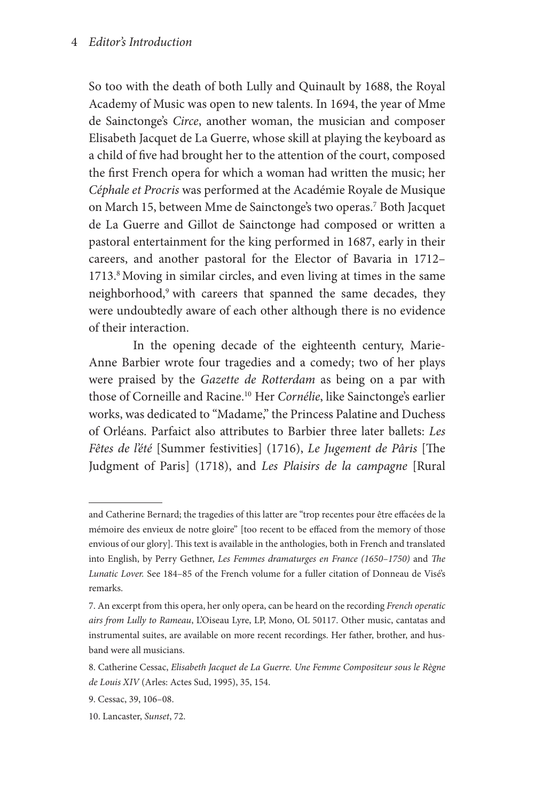So too with the death of both Lully and Quinault by 1688, the Royal Academy of Music was open to new talents. In 1694, the year of Mme de Sainctonge's *Circe*, another woman, the musician and composer Elisabeth Jacquet de La Guerre, whose skill at playing the keyboard as a child of five had brought her to the attention of the court, composed the first French opera for which a woman had written the music; her *Céphale et Procris* was performed at the Académie Royale de Musique on March 15, between Mme de Sainctonge's two operas.7 Both Jacquet de La Guerre and Gillot de Sainctonge had composed or written a pastoral entertainment for the king performed in 1687, early in their careers, and another pastoral for the Elector of Bavaria in 1712– 1713.8 Moving in similar circles, and even living at times in the same neighborhood,<sup>9</sup> with careers that spanned the same decades, they were undoubtedly aware of each other although there is no evidence of their interaction.

In the opening decade of the eighteenth century, Marie-Anne Barbier wrote four tragedies and a comedy; two of her plays were praised by the *Gazette de Rotterdam* as being on a par with those of Corneille and Racine.10 Her *Cornélie*, like Sainctonge's earlier works, was dedicated to "Madame," the Princess Palatine and Duchess of Orléans. Parfaict also attributes to Barbier three later ballets: *Les Fêtes de l'été* [Summer festivities] (1716), *Le Jugement de Pâris* [The Judgment of Paris] (1718), and *Les Plaisirs de la campagne* [Rural

and Catherine Bernard; the tragedies of this latter are "trop recentes pour être effacées de la mémoire des envieux de notre gloire" [too recent to be effaced from the memory of those envious of our glory]. This text is available in the anthologies, both in French and translated into English, by Perry Gethner, *Les Femmes dramaturges en France (1650–1750)* and *The Lunatic Lover.* See 184–85 of the French volume for a fuller citation of Donneau de Visé's remarks.

<sup>7.</sup> An excerpt from this opera, her only opera, can be heard on the recording *French operatic airs from Lully to Rameau*, L'Oiseau Lyre, LP, Mono, OL 50117. Other music, cantatas and instrumental suites, are available on more recent recordings. Her father, brother, and husband were all musicians.

<sup>8.</sup> Catherine Cessac, *Elisabeth Jacquet de La Guerre. Une Femme Compositeur sous le Règne de Louis XIV* (Arles: Actes Sud, 1995), 35, 154.

<sup>9.</sup> Cessac, 39, 106–08.

<sup>10.</sup> Lancaster, *Sunset*, 72.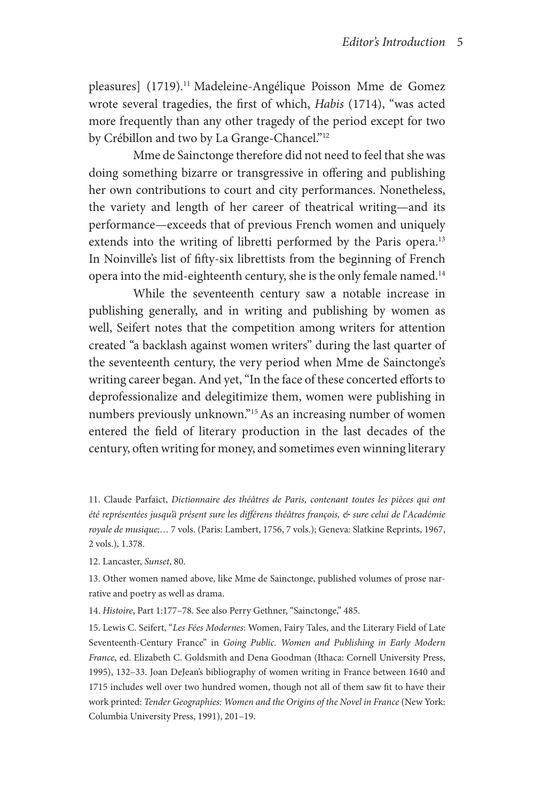pleasures] (1719).<sup>11</sup> Madeleine-Angélique Poisson Mme de Gomez wrote several tragedies, the first of which, *Habis* (1714), "was acted more frequently than any other tragedy of the period except for two by Crébillon and two by La Grange-Chancel."<sup>12</sup>

Mme de Sainctonge therefore did not need to feel that she was doing something bizarre or transgressive in offering and publishing her own contributions to court and city performances. Nonetheless, the variety and length of her career of theatrical writing—and its performance—exceeds that of previous French women and uniquely extends into the writing of libretti performed by the Paris opera.<sup>13</sup> In Noinville's list of fifty-six librettists from the beginning of French opera into the mid-eighteenth century, she is the only female named.<sup>14</sup>

While the seventeenth century saw a notable increase in publishing generally, and in writing and publishing by women as well, Seifert notes that the competition among writers for attention created "a backlash against women writers" during the last quarter of the seventeenth century, the very period when Mme de Sainctonge's writing career began. And yet, "In the face of these concerted efforts to deprofessionalize and delegitimize them, women were publishing in numbers previously unknown."15 As an increasing number of women entered the field of literary production in the last decades of the century, often writing for money, and sometimes even winning literary

11. Claude Parfaict, *Dictionnaire des théâtres de Paris, contenant toutes les pièces qui ont été représentées jusqu'à présent sure les différens théâtres françois, & sure celui de l*'*Académie royale de musique;…* 7 vols. (Paris: Lambert, 1756, 7 vols.); Geneva: Slatkine Reprints, 1967, 2 vols.), 1.378.

12. Lancaster, *Sunset*, 80.

13. Other women named above, like Mme de Sainctonge, published volumes of prose narrative and poetry as well as drama.

14. *Histoire*, Part 1:177–78. See also Perry Gethner, "Sainctonge," 485.

15. Lewis C. Seifert, "*Les Fées Modernes*: Women, Fairy Tales, and the Literary Field of Late Seventeenth-Century France" in *Going Public. Women and Publishing in Early Modern France*, ed. Elizabeth C. Goldsmith and Dena Goodman (Ithaca: Cornell University Press, 1995), 132–33. Joan DeJean's bibliography of women writing in France between 1640 and 1715 includes well over two hundred women, though not all of them saw fit to have their work printed: *Tender Geographies: Women and the Origins of the Novel in France* (New York: Columbia University Press, 1991), 201–19.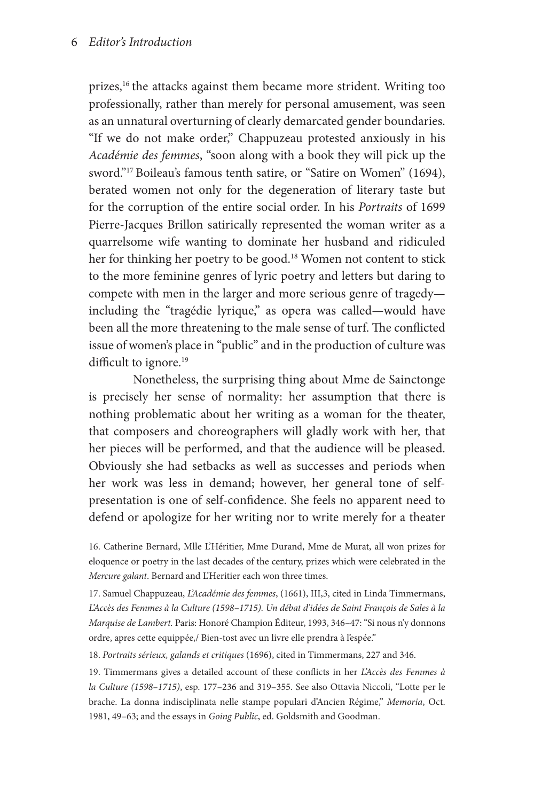prizes,<sup>16</sup> the attacks against them became more strident. Writing too professionally, rather than merely for personal amusement, was seen as an unnatural overturning of clearly demarcated gender boundaries. "If we do not make order," Chappuzeau protested anxiously in his *Académie des femmes*, "soon along with a book they will pick up the sword."17 Boileau's famous tenth satire, or "Satire on Women" (1694), berated women not only for the degeneration of literary taste but for the corruption of the entire social order. In his *Portraits* of 1699 Pierre-Jacques Brillon satirically represented the woman writer as a quarrelsome wife wanting to dominate her husband and ridiculed her for thinking her poetry to be good.<sup>18</sup> Women not content to stick to the more feminine genres of lyric poetry and letters but daring to compete with men in the larger and more serious genre of tragedy including the "tragédie lyrique," as opera was called—would have been all the more threatening to the male sense of turf. The conflicted issue of women's place in "public" and in the production of culture was difficult to ignore.<sup>19</sup>

Nonetheless, the surprising thing about Mme de Sainctonge is precisely her sense of normality: her assumption that there is nothing problematic about her writing as a woman for the theater, that composers and choreographers will gladly work with her, that her pieces will be performed, and that the audience will be pleased. Obviously she had setbacks as well as successes and periods when her work was less in demand; however, her general tone of selfpresentation is one of self-confidence. She feels no apparent need to defend or apologize for her writing nor to write merely for a theater

16. Catherine Bernard, Mlle L'Héritier, Mme Durand, Mme de Murat, all won prizes for eloquence or poetry in the last decades of the century, prizes which were celebrated in the *Mercure galant*. Bernard and L'Heritier each won three times.

17. Samuel Chappuzeau, *L'Académie des femmes*, (1661), III,3, cited in Linda Timmermans, *L'Accès des Femmes à la Culture (1598–1715). Un débat d'idées de Saint François de Sales à la Marquise de Lambert.* Paris: Honoré Champion Éditeur, 1993, 346–47: "Si nous n'y donnons ordre, apres cette equippée,/ Bien-tost avec un livre elle prendra à l'espée."

18. *Portraits sérieux, galands et critiques* (1696), cited in Timmermans, 227 and 346.

19. Timmermans gives a detailed account of these conflicts in her *L'Accès des Femmes à la Culture (1598–1715)*, esp. 177–236 and 319–355. See also Ottavia Niccoli, "Lotte per le brache. La donna indisciplinata nelle stampe populari d'Ancien Régime," *Memoria*, Oct. 1981, 49–63; and the essays in *Going Public*, ed. Goldsmith and Goodman.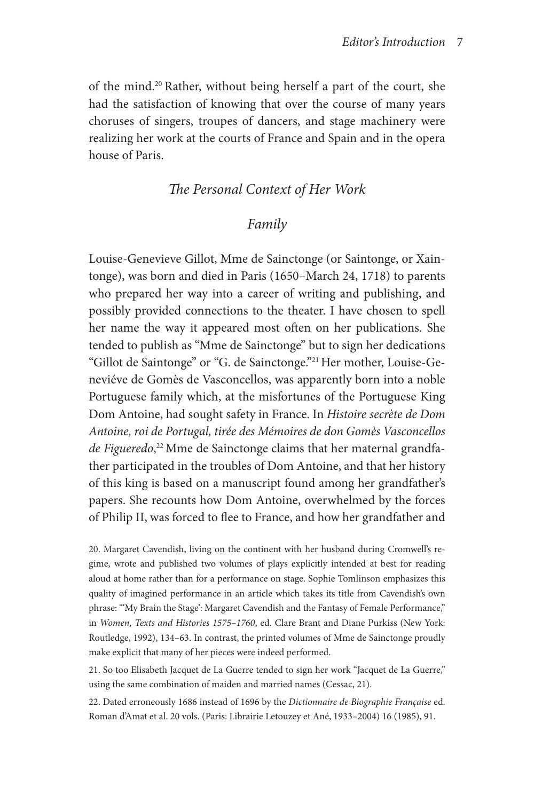of the mind.20 Rather, without being herself a part of the court, she had the satisfaction of knowing that over the course of many years choruses of singers, troupes of dancers, and stage machinery were realizing her work at the courts of France and Spain and in the opera house of Paris.

# *The Personal Context of Her Work*

## *Family*

Louise-Genevieve Gillot, Mme de Sainctonge (or Saintonge, or Xaintonge), was born and died in Paris (1650–March 24, 1718) to parents who prepared her way into a career of writing and publishing, and possibly provided connections to the theater. I have chosen to spell her name the way it appeared most often on her publications. She tended to publish as "Mme de Sainctonge" but to sign her dedications "Gillot de Saintonge" or "G. de Sainctonge."21 Her mother, Louise-Geneviéve de Gomès de Vasconcellos, was apparently born into a noble Portuguese family which, at the misfortunes of the Portuguese King Dom Antoine, had sought safety in France. In *Histoire secrète de Dom Antoine, roi de Portugal, tirée des Mémoires de don Gomès Vasconcellos de Figueredo*, 22 Mme de Sainctonge claims that her maternal grandfather participated in the troubles of Dom Antoine, and that her history of this king is based on a manuscript found among her grandfather's papers. She recounts how Dom Antoine, overwhelmed by the forces of Philip II, was forced to flee to France, and how her grandfather and

20. Margaret Cavendish, living on the continent with her husband during Cromwell's regime, wrote and published two volumes of plays explicitly intended at best for reading aloud at home rather than for a performance on stage. Sophie Tomlinson emphasizes this quality of imagined performance in an article which takes its title from Cavendish's own phrase: "'My Brain the Stage': Margaret Cavendish and the Fantasy of Female Performance," in *Women, Texts and Histories 1575–1760*, ed. Clare Brant and Diane Purkiss (New York: Routledge, 1992), 134–63. In contrast, the printed volumes of Mme de Sainctonge proudly make explicit that many of her pieces were indeed performed.

21. So too Elisabeth Jacquet de La Guerre tended to sign her work "Jacquet de La Guerre," using the same combination of maiden and married names (Cessac, 21).

22. Dated erroneously 1686 instead of 1696 by the *Dictionnaire de Biographie Française* ed. Roman d'Amat et al. 20 vols. (Paris: Librairie Letouzey et Ané, 1933–2004) 16 (1985), 91.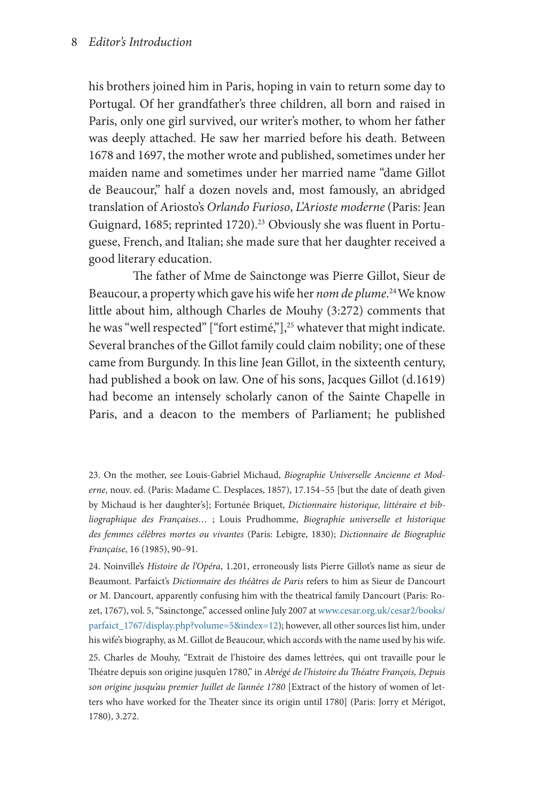#### 8 *Editor's Introduction*

his brothers joined him in Paris, hoping in vain to return some day to Portugal. Of her grandfather's three children, all born and raised in Paris, only one girl survived, our writer's mother, to whom her father was deeply attached. He saw her married before his death. Between 1678 and 1697, the mother wrote and published, sometimes under her maiden name and sometimes under her married name "dame Gillot de Beaucour," half a dozen novels and, most famously, an abridged translation of Ariosto's *Orlando Furioso*, *L'Arioste moderne* (Paris: Jean Guignard, 1685; reprinted 1720).<sup>23</sup> Obviously she was fluent in Portuguese, French, and Italian; she made sure that her daughter received a good literary education.

The father of Mme de Sainctonge was Pierre Gillot, Sieur de Beaucour, a property which gave his wife her *nom de plume*. 24 We know little about him, although Charles de Mouhy (3:272) comments that he was "well respected" ["fort estimé,"],<sup>25</sup> whatever that might indicate. Several branches of the Gillot family could claim nobility; one of these came from Burgundy. In this line Jean Gillot, in the sixteenth century, had published a book on law. One of his sons, Jacques Gillot (d.1619) had become an intensely scholarly canon of the Sainte Chapelle in Paris, and a deacon to the members of Parliament; he published

24. Noinville's *Histoire de l'Opéra*, 1.201, erroneously lists Pierre Gillot's name as sieur de Beaumont. Parfaict's *Dictionnaire des théâtres de Paris* refers to him as Sieur de Dancourt or M. Dancourt, apparently confusing him with the theatrical family Dancourt (Paris: Rozet, 1767), vol. 5, "Sainctonge," accessed online July 2007 at [www.cesar.org.uk/cesar2/books/](http://www.cesar.org.uk/cesar2/books/parfaict_1767/display.php?volume=5&index=12) [parfaict\\_1767/display.php?volume=5&index=12](http://www.cesar.org.uk/cesar2/books/parfaict_1767/display.php?volume=5&index=12)); however, all other sources list him, under his wife's biography, as M. Gillot de Beaucour, which accords with the name used by his wife.

25. Charles de Mouhy, "Extrait de l'histoire des dames lettrées, qui ont travaille pour le Théatre depuis son origine jusqu'en 1780," in *Abrégé de l'histoire du Théatre François, Depuis son origine jusqu'au premier Juillet de l'année 1780* [Extract of the history of women of letters who have worked for the Theater since its origin until 1780] (Paris: Jorry et Mérigot, 1780), 3.272.

<sup>23.</sup> On the mother, see Louis-Gabriel Michaud, *Biographie Universelle Ancienne et Moderne*, nouv. ed. (Paris: Madame C. Desplaces, 1857), 17.154–55 [but the date of death given by Michaud is her daughter's]; Fortunée Briquet, *Dictionnaire historique, littéraire et bibliographique des Françaises…* ; Louis Prudhomme, *Biographie universelle et historique des femmes célèbres mortes ou vivantes* (Paris: Lebigre, 1830); *Dictionnaire de Biographie Française*, 16 (1985), 90–91.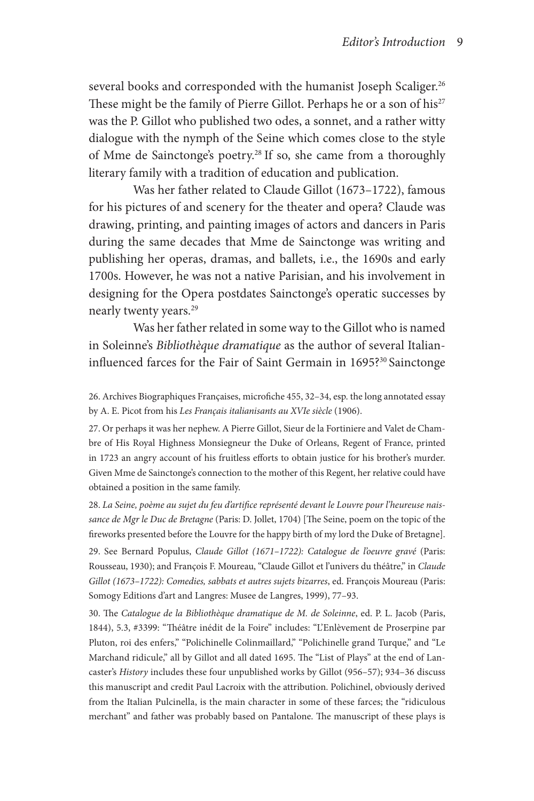several books and corresponded with the humanist Joseph Scaliger.<sup>26</sup> These might be the family of Pierre Gillot. Perhaps he or a son of his<sup>27</sup> was the P. Gillot who published two odes, a sonnet, and a rather witty dialogue with the nymph of the Seine which comes close to the style of Mme de Sainctonge's poetry.28 If so, she came from a thoroughly literary family with a tradition of education and publication.

Was her father related to Claude Gillot (1673–1722), famous for his pictures of and scenery for the theater and opera? Claude was drawing, printing, and painting images of actors and dancers in Paris during the same decades that Mme de Sainctonge was writing and publishing her operas, dramas, and ballets, i.e., the 1690s and early 1700s. However, he was not a native Parisian, and his involvement in designing for the Opera postdates Sainctonge's operatic successes by nearly twenty years.<sup>29</sup>

Was her father related in some way to the Gillot who is named in Soleinne's *Bibliothèque dramatique* as the author of several Italianinfluenced farces for the Fair of Saint Germain in 1695?<sup>30</sup> Sainctonge

26. Archives Biographiques Françaises, microfiche 455, 32–34, esp. the long annotated essay by A. E. Picot from his *Les Français italianisants au XVIe siècle* (1906).

27. Or perhaps it was her nephew. A Pierre Gillot, Sieur de la Fortiniere and Valet de Chambre of His Royal Highness Monsiegneur the Duke of Orleans, Regent of France, printed in 1723 an angry account of his fruitless efforts to obtain justice for his brother's murder. Given Mme de Sainctonge's connection to the mother of this Regent, her relative could have obtained a position in the same family.

28. *La Seine, poème au sujet du feu d'artifice représenté devant le Louvre pour l'heureuse naissance de Mgr le Duc de Bretagne* (Paris: D. Jollet, 1704) [The Seine, poem on the topic of the fireworks presented before the Louvre for the happy birth of my lord the Duke of Bretagne]. 29. See Bernard Populus, *Claude Gillot (1671–1722): Catalogue de l'oeuvre gravé* (Paris: Rousseau, 1930); and François F. Moureau, "Claude Gillot et l'univers du théâtre," in *Claude Gillot (1673–1722): Comedies, sabbats et autres sujets bizarres*, ed. François Moureau (Paris: Somogy Editions d'art and Langres: Musee de Langres, 1999), 77–93.

30. The *Catalogue de la Bibliothèque dramatique de M. de Soleinne*, ed. P. L. Jacob (Paris, 1844), 5.3, #3399: "Théâtre inédit de la Foire" includes: "L'Enlèvement de Proserpine par Pluton, roi des enfers," "Polichinelle Colinmaillard," "Polichinelle grand Turque," and "Le Marchand ridicule," all by Gillot and all dated 1695. The "List of Plays" at the end of Lancaster's *History* includes these four unpublished works by Gillot (956–57); 934–36 discuss this manuscript and credit Paul Lacroix with the attribution. Polichinel, obviously derived from the Italian Pulcinella, is the main character in some of these farces; the "ridiculous merchant" and father was probably based on Pantalone. The manuscript of these plays is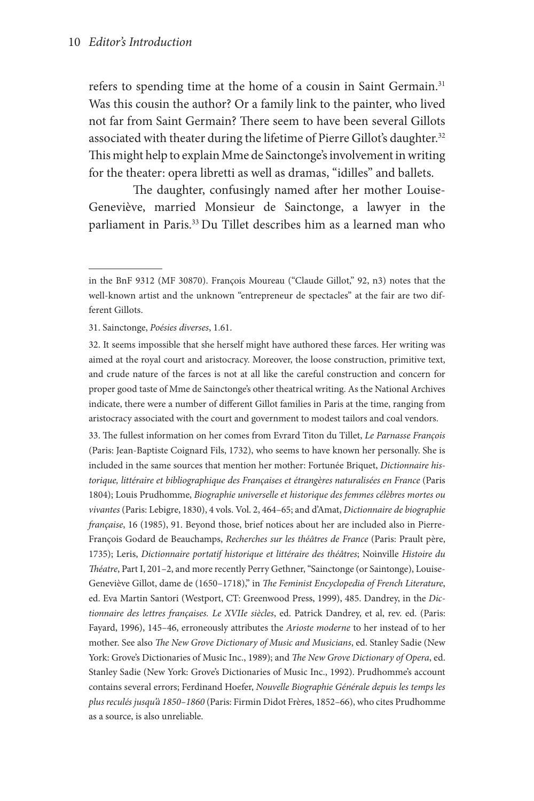refers to spending time at the home of a cousin in Saint Germain.<sup>31</sup> Was this cousin the author? Or a family link to the painter, who lived not far from Saint Germain? There seem to have been several Gillots associated with theater during the lifetime of Pierre Gillot's daughter.<sup>32</sup> This might help to explain Mme de Sainctonge's involvement in writing for the theater: opera libretti as well as dramas, "idilles" and ballets.

The daughter, confusingly named after her mother Louise-Geneviève, married Monsieur de Sainctonge, a lawyer in the parliament in Paris.<sup>33</sup> Du Tillet describes him as a learned man who

33. The fullest information on her comes from Evrard Titon du Tillet, *Le Parnasse François*  (Paris: Jean-Baptiste Coignard Fils, 1732), who seems to have known her personally. She is included in the same sources that mention her mother: Fortunée Briquet, *Dictionnaire historique, littéraire et bibliographique des Françaises et étrangères naturalisées en France* (Paris 1804); Louis Prudhomme, *Biographie universelle et historique des femmes célèbres mortes ou vivantes* (Paris: Lebigre, 1830), 4 vols. Vol. 2, 464–65; and d'Amat, *Dictionnaire de biographie française*, 16 (1985), 91. Beyond those, brief notices about her are included also in Pierre-François Godard de Beauchamps, *Recherches sur les théâtres de France* (Paris: Prault père, 1735); Leris, *Dictionnaire portatif historique et littéraire des théâtres*; Noinville *Histoire du Théatre*, Part I, 201–2, and more recently Perry Gethner, "Sainctonge (or Saintonge), Louise-Geneviève Gillot, dame de (1650–1718)," in *The Feminist Encyclopedia of French Literature*, ed. Eva Martin Santori (Westport, CT: Greenwood Press, 1999), 485. Dandrey, in the *Dictionnaire des lettres françaises. Le XVIIe siècles*, ed. Patrick Dandrey, et al, rev. ed. (Paris: Fayard, 1996), 145–46, erroneously attributes the *Arioste moderne* to her instead of to her mother. See also *The New Grove Dictionary of Music and Musicians*, ed. Stanley Sadie (New York: Grove's Dictionaries of Music Inc., 1989); and *The New Grove Dictionary of Opera*, ed. Stanley Sadie (New York: Grove's Dictionaries of Music Inc., 1992). Prudhomme's account contains several errors; Ferdinand Hoefer, *Nouvelle Biographie Générale depuis les temps les plus reculés jusqu'à 1850–1860* (Paris: Firmin Didot Frères, 1852–66), who cites Prudhomme as a source, is also unreliable.

in the BnF 9312 (MF 30870). François Moureau ("Claude Gillot," 92, n3) notes that the well-known artist and the unknown "entrepreneur de spectacles" at the fair are two different Gillots.

<sup>31.</sup> Sainctonge, *Poésies diverses*, 1.61.

<sup>32.</sup> It seems impossible that she herself might have authored these farces. Her writing was aimed at the royal court and aristocracy. Moreover, the loose construction, primitive text, and crude nature of the farces is not at all like the careful construction and concern for proper good taste of Mme de Sainctonge's other theatrical writing. As the National Archives indicate, there were a number of different Gillot families in Paris at the time, ranging from aristocracy associated with the court and government to modest tailors and coal vendors.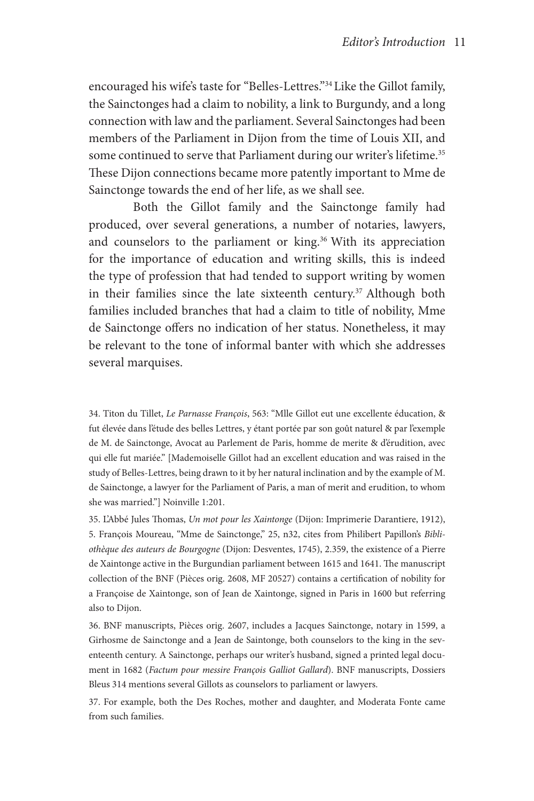encouraged his wife's taste for "Belles-Lettres."<sup>34</sup> Like the Gillot family, the Sainctonges had a claim to nobility, a link to Burgundy, and a long connection with law and the parliament. Several Sainctonges had been members of the Parliament in Dijon from the time of Louis XII, and some continued to serve that Parliament during our writer's lifetime.<sup>35</sup> These Dijon connections became more patently important to Mme de Sainctonge towards the end of her life, as we shall see.

Both the Gillot family and the Sainctonge family had produced, over several generations, a number of notaries, lawyers, and counselors to the parliament or king.<sup>36</sup> With its appreciation for the importance of education and writing skills, this is indeed the type of profession that had tended to support writing by women in their families since the late sixteenth century.<sup>37</sup> Although both families included branches that had a claim to title of nobility, Mme de Sainctonge offers no indication of her status. Nonetheless, it may be relevant to the tone of informal banter with which she addresses several marquises.

34. Titon du Tillet, *Le Parnasse François*, 563: "Mlle Gillot eut une excellente éducation, & fut élevée dans l'étude des belles Lettres, y étant portée par son goût naturel & par l'exemple de M. de Sainctonge, Avocat au Parlement de Paris, homme de merite & d'érudition, avec qui elle fut mariée." [Mademoiselle Gillot had an excellent education and was raised in the study of Belles-Lettres, being drawn to it by her natural inclination and by the example of M. de Sainctonge, a lawyer for the Parliament of Paris, a man of merit and erudition, to whom she was married."] Noinville 1:201.

35. L'Abbé Jules Thomas, *Un mot pour les Xaintonge* (Dijon: Imprimerie Darantiere, 1912), 5. François Moureau, "Mme de Sainctonge," 25, n32, cites from Philibert Papillon's *Bibliothèque des auteurs de Bourgogne* (Dijon: Desventes, 1745), 2.359, the existence of a Pierre de Xaintonge active in the Burgundian parliament between 1615 and 1641. The manuscript collection of the BNF (Pièces orig. 2608, MF 20527) contains a certification of nobility for a Françoise de Xaintonge, son of Jean de Xaintonge, signed in Paris in 1600 but referring also to Dijon.

36. BNF manuscripts, Pièces orig. 2607, includes a Jacques Sainctonge, notary in 1599, a Girhosme de Sainctonge and a Jean de Saintonge, both counselors to the king in the seventeenth century. A Sainctonge, perhaps our writer's husband, signed a printed legal document in 1682 (*Factum pour messire François Galliot Gallard*). BNF manuscripts, Dossiers Bleus 314 mentions several Gillots as counselors to parliament or lawyers.

37. For example, both the Des Roches, mother and daughter, and Moderata Fonte came from such families.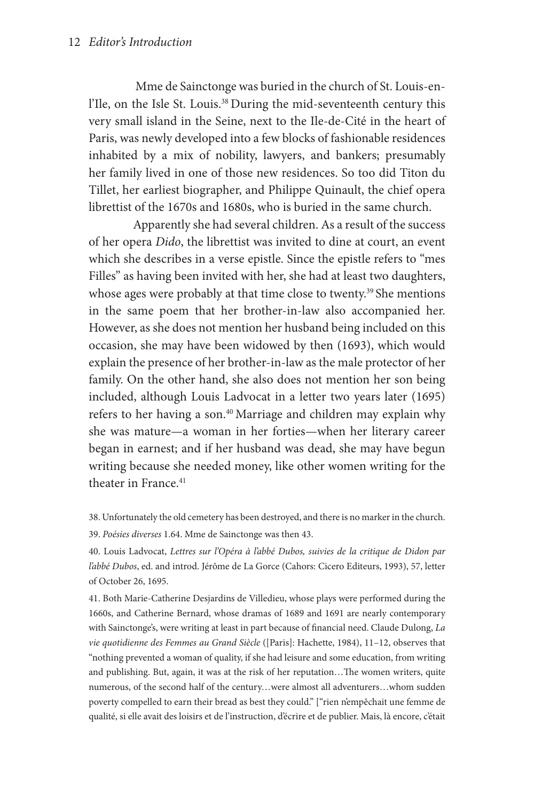Mme de Sainctonge was buried in the church of St. Louis-enl'Ile, on the Isle St. Louis.<sup>38</sup> During the mid-seventeenth century this very small island in the Seine, next to the Ile-de-Cité in the heart of Paris, was newly developed into a few blocks of fashionable residences inhabited by a mix of nobility, lawyers, and bankers; presumably her family lived in one of those new residences. So too did Titon du Tillet, her earliest biographer, and Philippe Quinault, the chief opera librettist of the 1670s and 1680s, who is buried in the same church.

Apparently she had several children. As a result of the success of her opera *Dido*, the librettist was invited to dine at court, an event which she describes in a verse epistle. Since the epistle refers to "mes Filles" as having been invited with her, she had at least two daughters, whose ages were probably at that time close to twenty.<sup>39</sup> She mentions in the same poem that her brother-in-law also accompanied her. However, as she does not mention her husband being included on this occasion, she may have been widowed by then (1693), which would explain the presence of her brother-in-law as the male protector of her family. On the other hand, she also does not mention her son being included, although Louis Ladvocat in a letter two years later (1695) refers to her having a son.<sup>40</sup> Marriage and children may explain why she was mature—a woman in her forties—when her literary career began in earnest; and if her husband was dead, she may have begun writing because she needed money, like other women writing for the theater in France.<sup>41</sup>

38. Unfortunately the old cemetery has been destroyed, and there is no marker in the church.

39. *Poésies diverses* 1.64. Mme de Sainctonge was then 43.

40. Louis Ladvocat, *Lettres sur l'Opéra à l'abbé Dubos, suivies de la critique de Didon par l'abbé Dubos*, ed. and introd. Jérôme de La Gorce (Cahors: Cicero Editeurs, 1993), 57, letter of October 26, 1695.

41. Both Marie-Catherine Desjardins de Villedieu, whose plays were performed during the 1660s, and Catherine Bernard, whose dramas of 1689 and 1691 are nearly contemporary with Sainctonge's, were writing at least in part because of financial need. Claude Dulong, *La vie quotidienne des Femmes au Grand Siècle* ([Paris]: Hachette, 1984), 11–12, observes that "nothing prevented a woman of quality, if she had leisure and some education, from writing and publishing. But, again, it was at the risk of her reputation…The women writers, quite numerous, of the second half of the century…were almost all adventurers…whom sudden poverty compelled to earn their bread as best they could." ["rien n'empêchait une femme de qualité, si elle avait des loisirs et de l'instruction, d'écrire et de publier. Mais, là encore, c'était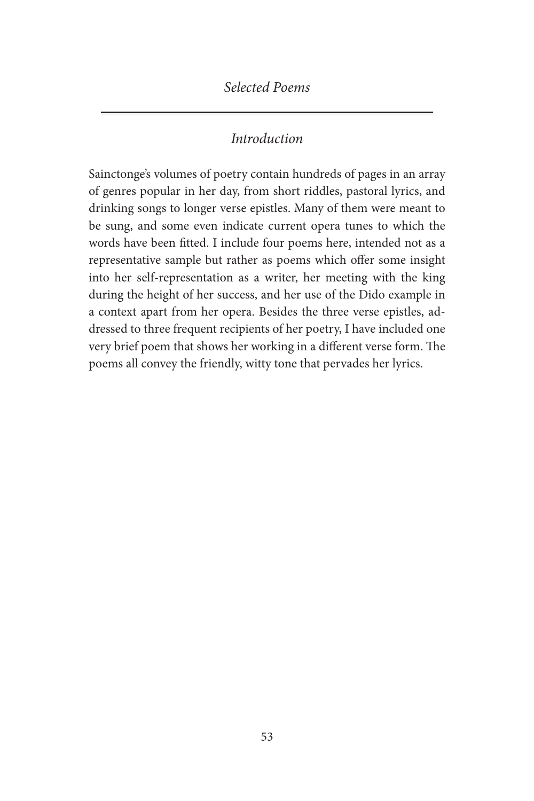## *Selected Poems*

### *Introduction*

Sainctonge's volumes of poetry contain hundreds of pages in an array of genres popular in her day, from short riddles, pastoral lyrics, and drinking songs to longer verse epistles. Many of them were meant to be sung, and some even indicate current opera tunes to which the words have been fitted. I include four poems here, intended not as a representative sample but rather as poems which offer some insight into her self-representation as a writer, her meeting with the king during the height of her success, and her use of the Dido example in a context apart from her opera. Besides the three verse epistles, addressed to three frequent recipients of her poetry, I have included one very brief poem that shows her working in a different verse form. The poems all convey the friendly, witty tone that pervades her lyrics.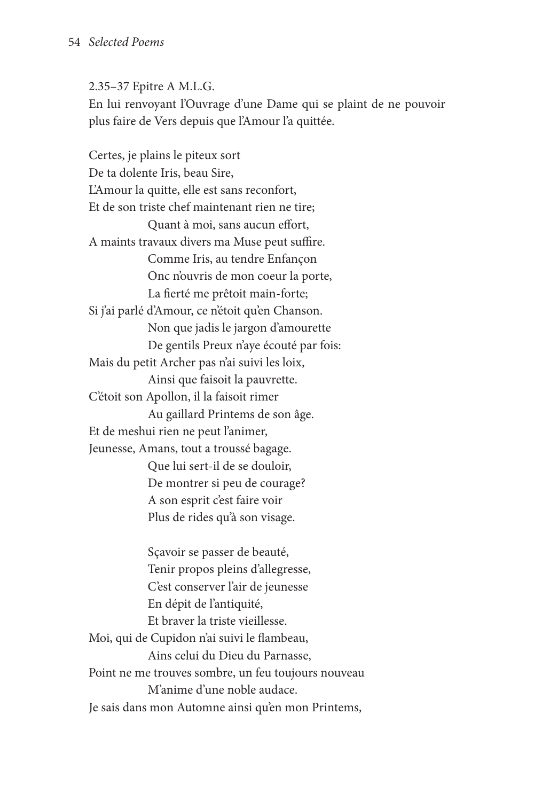2.35–37 Epitre A M.L.G.

En lui renvoyant l'Ouvrage d'une Dame qui se plaint de ne pouvoir plus faire de Vers depuis que l'Amour l'a quittée.

Certes, je plains le piteux sort De ta dolente Iris, beau Sire, L'Amour la quitte, elle est sans reconfort, Et de son triste chef maintenant rien ne tire; Quant à moi, sans aucun effort, A maints travaux divers ma Muse peut suffire. Comme Iris, au tendre Enfançon Onc n'ouvris de mon coeur la porte, La fierté me prêtoit main-forte; Si j'ai parlé d'Amour, ce n'étoit qu'en Chanson. Non que jadis le jargon d'amourette De gentils Preux n'aye écouté par fois: Mais du petit Archer pas n'ai suivi les loix, Ainsi que faisoit la pauvrette. C'étoit son Apollon, il la faisoit rimer Au gaillard Printems de son âge. Et de meshui rien ne peut l'animer, Jeunesse, Amans, tout a troussé bagage. Que lui sert-il de se douloir, De montrer si peu de courage? A son esprit c'est faire voir Plus de rides qu'à son visage.

Sçavoir se passer de beauté, Tenir propos pleins d'allegresse, C'est conserver l'air de jeunesse En dépit de l'antiquité, Et braver la triste vieillesse. Moi, qui de Cupidon n'ai suivi le flambeau, Ains celui du Dieu du Parnasse, Point ne me trouves sombre, un feu toujours nouveau M'anime d'une noble audace. Je sais dans mon Automne ainsi qu'en mon Printems,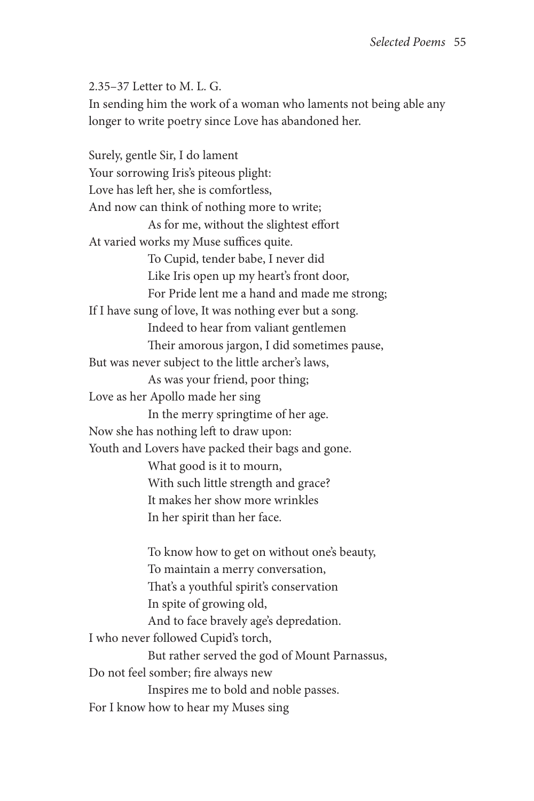2.35–37 Letter to M. L. G. In sending him the work of a woman who laments not being able any longer to write poetry since Love has abandoned her.

Surely, gentle Sir, I do lament Your sorrowing Iris's piteous plight: Love has left her, she is comfortless, And now can think of nothing more to write; As for me, without the slightest effort At varied works my Muse suffices quite. To Cupid, tender babe, I never did Like Iris open up my heart's front door, For Pride lent me a hand and made me strong; If I have sung of love, It was nothing ever but a song. Indeed to hear from valiant gentlemen Their amorous jargon, I did sometimes pause, But was never subject to the little archer's laws, As was your friend, poor thing; Love as her Apollo made her sing In the merry springtime of her age. Now she has nothing left to draw upon: Youth and Lovers have packed their bags and gone. What good is it to mourn, With such little strength and grace? It makes her show more wrinkles In her spirit than her face. To know how to get on without one's beauty,

To maintain a merry conversation, That's a youthful spirit's conservation In spite of growing old, And to face bravely age's depredation. I who never followed Cupid's torch, But rather served the god of Mount Parnassus, Do not feel somber; fire always new Inspires me to bold and noble passes. For I know how to hear my Muses sing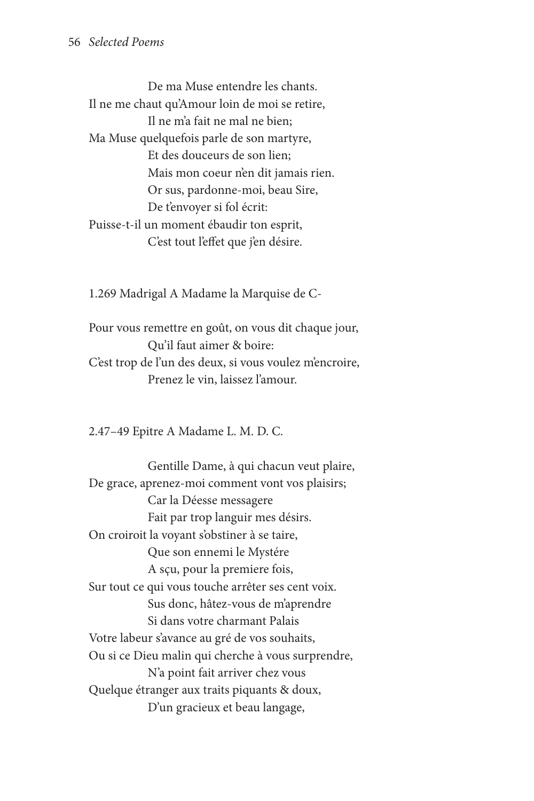De ma Muse entendre les chants. Il ne me chaut qu'Amour loin de moi se retire, Il ne m'a fait ne mal ne bien; Ma Muse quelquefois parle de son martyre, Et des douceurs de son lien; Mais mon coeur n'en dit jamais rien. Or sus, pardonne-moi, beau Sire, De t'envoyer si fol écrit: Puisse-t-il un moment ébaudir ton esprit, C'est tout l'effet que j'en désire.

1.269 Madrigal A Madame la Marquise de C-

Pour vous remettre en goût, on vous dit chaque jour, Qu'il faut aimer & boire: C'est trop de l'un des deux, si vous voulez m'encroire, Prenez le vin, laissez l'amour.

2.47–49 Epitre A Madame L. M. D. C.

Gentille Dame, à qui chacun veut plaire, De grace, aprenez-moi comment vont vos plaisirs; Car la Déesse messagere Fait par trop languir mes désirs. On croiroit la voyant s'obstiner à se taire, Que son ennemi le Mystére A sçu, pour la premiere fois, Sur tout ce qui vous touche arrêter ses cent voix. Sus donc, hâtez-vous de m'aprendre Si dans votre charmant Palais Votre labeur s'avance au gré de vos souhaits, Ou si ce Dieu malin qui cherche à vous surprendre, N'a point fait arriver chez vous Quelque étranger aux traits piquants & doux, D'un gracieux et beau langage,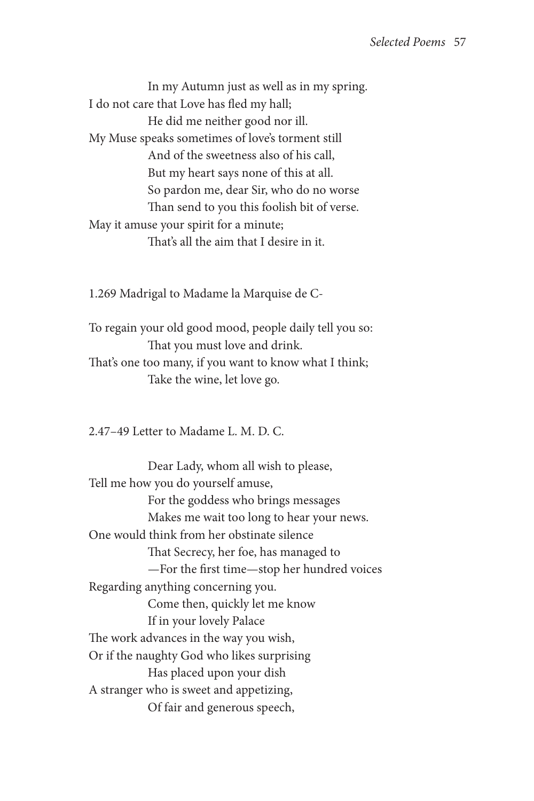In my Autumn just as well as in my spring. I do not care that Love has fled my hall; He did me neither good nor ill. My Muse speaks sometimes of love's torment still And of the sweetness also of his call, But my heart says none of this at all. So pardon me, dear Sir, who do no worse Than send to you this foolish bit of verse. May it amuse your spirit for a minute; That's all the aim that I desire in it.

1.269 Madrigal to Madame la Marquise de C-

To regain your old good mood, people daily tell you so: That you must love and drink. That's one too many, if you want to know what I think; Take the wine, let love go.

2.47–49 Letter to Madame L. M. D. C.

Dear Lady, whom all wish to please, Tell me how you do yourself amuse, For the goddess who brings messages Makes me wait too long to hear your news. One would think from her obstinate silence That Secrecy, her foe, has managed to —For the first time—stop her hundred voices Regarding anything concerning you. Come then, quickly let me know If in your lovely Palace The work advances in the way you wish, Or if the naughty God who likes surprising Has placed upon your dish A stranger who is sweet and appetizing, Of fair and generous speech,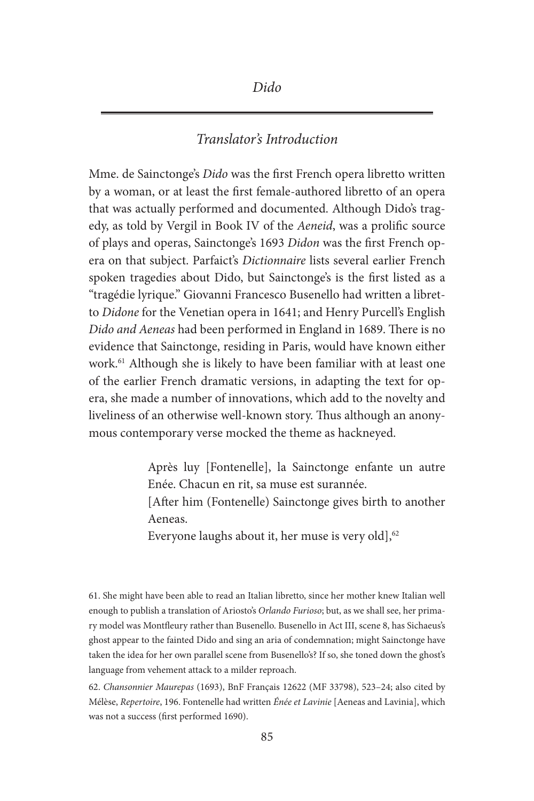# *Translator's Introduction*

Mme. de Sainctonge's *Dido* was the first French opera libretto written by a woman, or at least the first female-authored libretto of an opera that was actually performed and documented. Although Dido's tragedy, as told by Vergil in Book IV of the *Aeneid*, was a prolific source of plays and operas, Sainctonge's 1693 *Didon* was the first French opera on that subject. Parfaict's *Dictionnaire* lists several earlier French spoken tragedies about Dido, but Sainctonge's is the first listed as a "tragédie lyrique." Giovanni Francesco Busenello had written a libretto *Didone* for the Venetian opera in 1641; and Henry Purcell's English *Dido and Aeneas* had been performed in England in 1689. There is no evidence that Sainctonge, residing in Paris, would have known either work.<sup>61</sup> Although she is likely to have been familiar with at least one of the earlier French dramatic versions, in adapting the text for opera, she made a number of innovations, which add to the novelty and liveliness of an otherwise well-known story. Thus although an anonymous contemporary verse mocked the theme as hackneyed.

> Après luy [Fontenelle], la Sainctonge enfante un autre Enée. Chacun en rit, sa muse est surannée.

> [After him (Fontenelle) Sainctonge gives birth to another Aeneas.

Everyone laughs about it, her muse is very old], $62$ 

61. She might have been able to read an Italian libretto, since her mother knew Italian well enough to publish a translation of Ariosto's *Orlando Furioso*; but, as we shall see, her primary model was Montfleury rather than Busenello. Busenello in Act III, scene 8, has Sichaeus's ghost appear to the fainted Dido and sing an aria of condemnation; might Sainctonge have taken the idea for her own parallel scene from Busenello's? If so, she toned down the ghost's language from vehement attack to a milder reproach.

62. *Chansonnier Maurepas* (1693), BnF Français 12622 (MF 33798), 523–24; also cited by Mélèse, *Repertoire*, 196. Fontenelle had written *Énée et Lavinie* [Aeneas and Lavinia], which was not a success (first performed 1690).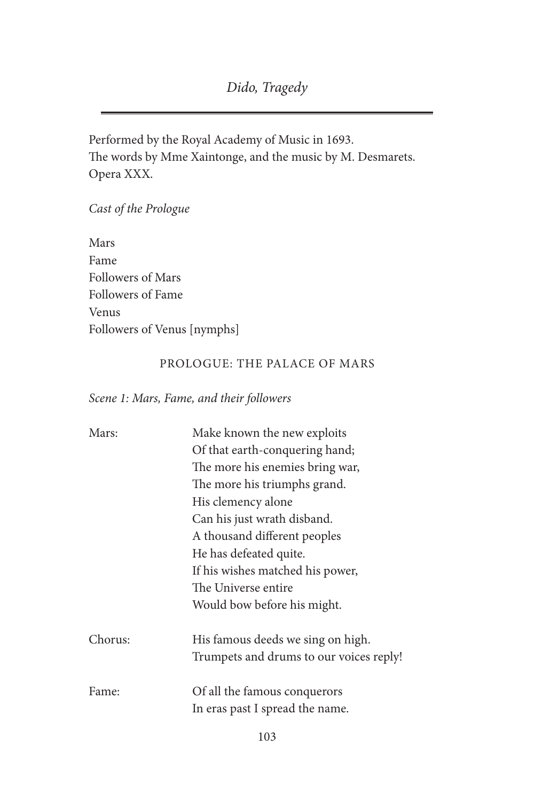Performed by the Royal Academy of Music in 1693. The words by Mme Xaintonge, and the music by M. Desmarets. Opera XXX.

*Cast of the Prologue*

Mars Fame Followers of Mars Followers of Fame Venus Followers of Venus [nymphs]

#### PROLOGUE: THE PALACE OF MARS

### *Scene 1: Mars, Fame, and their followers*

| Mars:   | Make known the new exploits             |
|---------|-----------------------------------------|
|         | Of that earth-conquering hand;          |
|         | The more his enemies bring war,         |
|         | The more his triumphs grand.            |
|         | His clemency alone                      |
|         | Can his just wrath disband.             |
|         | A thousand different peoples            |
|         | He has defeated quite.                  |
|         | If his wishes matched his power,        |
|         | The Universe entire                     |
|         | Would bow before his might.             |
| Chorus: | His famous deeds we sing on high.       |
|         | Trumpets and drums to our voices reply! |
| Fame:   | Of all the famous conquerors            |
|         |                                         |
|         | In eras past I spread the name.         |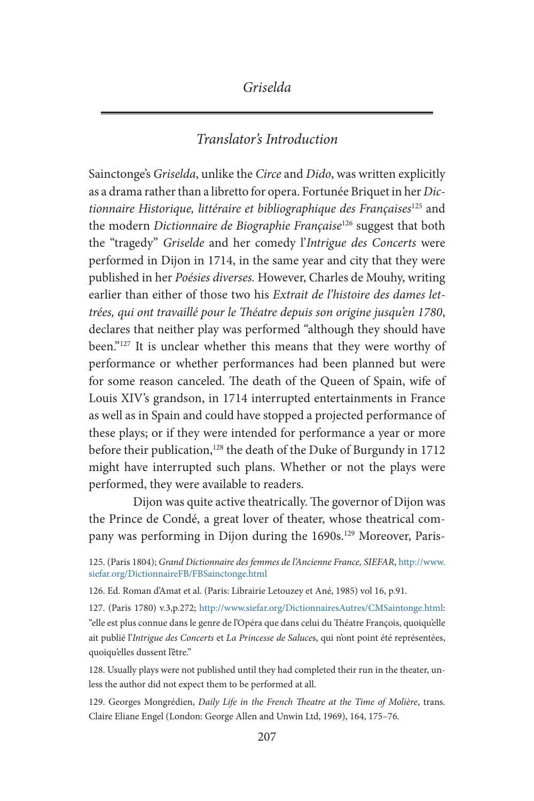# *Translator's Introduction*

Sainctonge's *Griselda*, unlike the *Circe* and *Dido*, was written explicitly as a drama rather than a libretto for opera. Fortunée Briquet in her *Dictionnaire Historique, littéraire et bibliographique des Françaises*<sup>125</sup> and the modern *Dictionnaire de Biographie Française*<sup>126</sup> suggest that both the "tragedy" *Griselde* and her comedy l'*Intrigue des Concerts* were performed in Dijon in 1714, in the same year and city that they were published in her *Poésies diverses.* However, Charles de Mouhy, writing earlier than either of those two his *Extrait de l'histoire des dames lettrées, qui ont travaillé pour le Théatre depuis son origine jusqu'en 1780*, declares that neither play was performed "although they should have been."127 It is unclear whether this means that they were worthy of performance or whether performances had been planned but were for some reason canceled. The death of the Queen of Spain, wife of Louis XIV's grandson, in 1714 interrupted entertainments in France as well as in Spain and could have stopped a projected performance of these plays; or if they were intended for performance a year or more before their publication,<sup>128</sup> the death of the Duke of Burgundy in 1712 might have interrupted such plans. Whether or not the plays were performed, they were available to readers.

Dijon was quite active theatrically. The governor of Dijon was the Prince de Condé, a great lover of theater, whose theatrical company was performing in Dijon during the 1690s.<sup>129</sup> Moreover, Paris-

125. (Paris 1804); *Grand Dictionnaire des femmes de l'Ancienne France, SIEFAR*, [http://www.](http://www.siefar.org/DictionnaireFB/FBSainctonge.html) [siefar.org/DictionnaireFB/FBSainctonge.html](http://www.siefar.org/DictionnaireFB/FBSainctonge.html) 

126. Ed. Roman d'Amat et al. (Paris: Librairie Letouzey et Ané, 1985) vol 16, p.91.

127. (Paris 1780) v.3,p.272; <http://www.siefar.org/DictionnairesAutres/CMSaintonge.html>: "elle est plus connue dans le genre de l'Opéra que dans celui du Théatre François, quoiqu'elle ait publié l'*Intrigue des Concerts* et *La Princesse de Saluce*s, qui n'ont point été représentées, quoiqu'elles dussent l'être."

128. Usually plays were not published until they had completed their run in the theater, unless the author did not expect them to be performed at all.

129. Georges Mongrédien, *Daily Life in the French Theatre at the Time of Molière*, trans. Claire Eliane Engel (London: George Allen and Unwin Ltd, 1969), 164, 175–76.